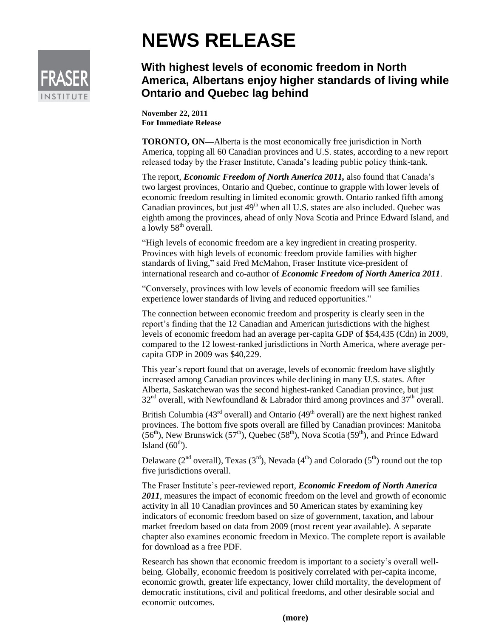

## **NEWS RELEASE**

## **With highest levels of economic freedom in North America, Albertans enjoy higher standards of living while Ontario and Quebec lag behind**

**November 22, 2011 For Immediate Release**

**TORONTO, ON—**Alberta is the most economically free jurisdiction in North America, topping all 60 Canadian provinces and U.S. states, according to a new report released today by the Fraser Institute, Canada's leading public policy think-tank.

The report, *Economic Freedom of North America 2011,* also found that Canada's two largest provinces, Ontario and Quebec, continue to grapple with lower levels of economic freedom resulting in limited economic growth. Ontario ranked fifth among Canadian provinces, but just  $49<sup>th</sup>$  when all U.S. states are also included. Quebec was eighth among the provinces, ahead of only Nova Scotia and Prince Edward Island, and a lowly 58<sup>th</sup> overall.

"High levels of economic freedom are a key ingredient in creating prosperity. Provinces with high levels of economic freedom provide families with higher standards of living," said Fred McMahon, Fraser Institute vice-president of international research and co-author of *Economic Freedom of North America 2011*.

"Conversely, provinces with low levels of economic freedom will see families experience lower standards of living and reduced opportunities."

The connection between economic freedom and prosperity is clearly seen in the report's finding that the 12 Canadian and American jurisdictions with the highest levels of economic freedom had an average per-capita GDP of \$54,435 (Cdn) in 2009, compared to the 12 lowest-ranked jurisdictions in North America, where average percapita GDP in 2009 was \$40,229.

This year's report found that on average, levels of economic freedom have slightly increased among Canadian provinces while declining in many U.S. states. After Alberta, Saskatchewan was the second highest-ranked Canadian province, but just  $32<sup>nd</sup>$  overall, with Newfoundland & Labrador third among provinces and  $37<sup>th</sup>$  overall.

British Columbia ( $43<sup>rd</sup>$  overall) and Ontario ( $49<sup>th</sup>$  overall) are the next highest ranked provinces. The bottom five spots overall are filled by Canadian provinces: Manitoba  $(56<sup>th</sup>)$ , New Brunswick (57<sup>th</sup>), Quebec (58<sup>th</sup>), Nova Scotia (59<sup>th</sup>), and Prince Edward Island  $(60<sup>th</sup>)$ .

Delaware ( $2^{nd}$  overall), Texas ( $3^{rd}$ ), Nevada ( $4^{th}$ ) and Colorado ( $5^{th}$ ) round out the top five jurisdictions overall.

The Fraser Institute's peer-reviewed report, *Economic Freedom of North America 2011,* measures the impact of economic freedom on the level and growth of economic activity in all 10 Canadian provinces and 50 American states by examining key indicators of economic freedom based on size of government, taxation, and labour market freedom based on data from 2009 (most recent year available). A separate chapter also examines economic freedom in Mexico. The complete report is available for download as a free PDF.

Research has shown that economic freedom is important to a society's overall wellbeing. Globally, economic freedom is positively correlated with per-capita income, economic growth, greater life expectancy, lower child mortality, the development of democratic institutions, civil and political freedoms, and other desirable social and economic outcomes.